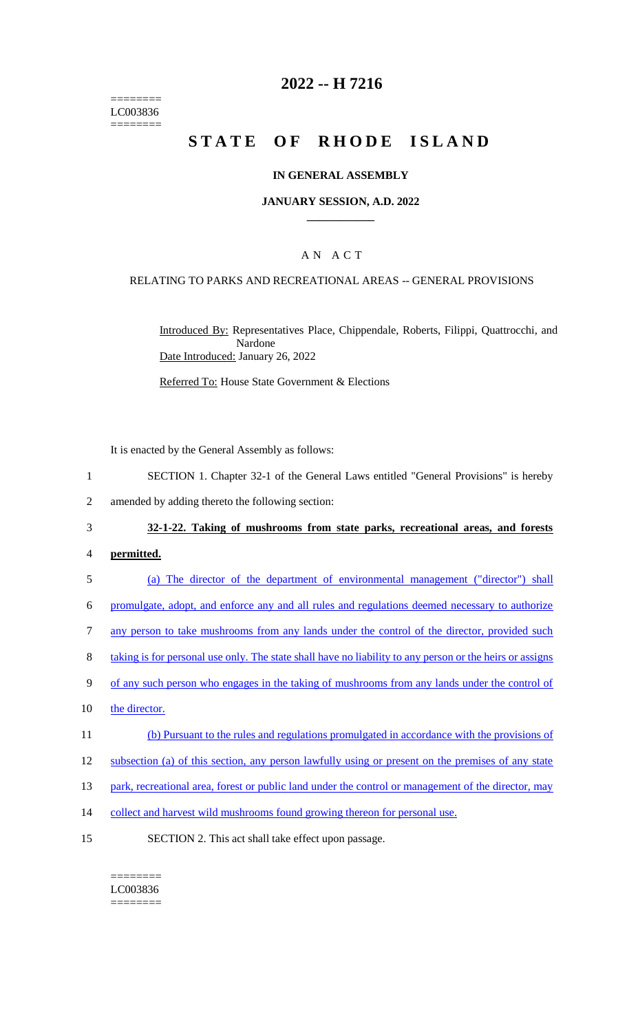======== LC003836 ========

## **2022 -- H 7216**

# **STATE OF RHODE ISLAND**

## **IN GENERAL ASSEMBLY**

## **JANUARY SESSION, A.D. 2022 \_\_\_\_\_\_\_\_\_\_\_\_**

## A N A C T

## RELATING TO PARKS AND RECREATIONAL AREAS -- GENERAL PROVISIONS

Introduced By: Representatives Place, Chippendale, Roberts, Filippi, Quattrocchi, and Nardone Date Introduced: January 26, 2022

Referred To: House State Government & Elections

It is enacted by the General Assembly as follows:

- 1 SECTION 1. Chapter 32-1 of the General Laws entitled "General Provisions" is hereby
- 2 amended by adding thereto the following section:

#### 3 **32-1-22. Taking of mushrooms from state parks, recreational areas, and forests**

### 4 **permitted.**

5 (a) The director of the department of environmental management ("director") shall

6 promulgate, adopt, and enforce any and all rules and regulations deemed necessary to authorize

- 7 any person to take mushrooms from any lands under the control of the director, provided such
- 8 taking is for personal use only. The state shall have no liability to any person or the heirs or assigns
- 9 of any such person who engages in the taking of mushrooms from any lands under the control of
- 10 the director.
- 11 (b) Pursuant to the rules and regulations promulgated in accordance with the provisions of

12 subsection (a) of this section, any person lawfully using or present on the premises of any state

- 13 park, recreational area, forest or public land under the control or management of the director, may
- 14 collect and harvest wild mushrooms found growing thereon for personal use.
- 15 SECTION 2. This act shall take effect upon passage.

#### ======== LC003836

========